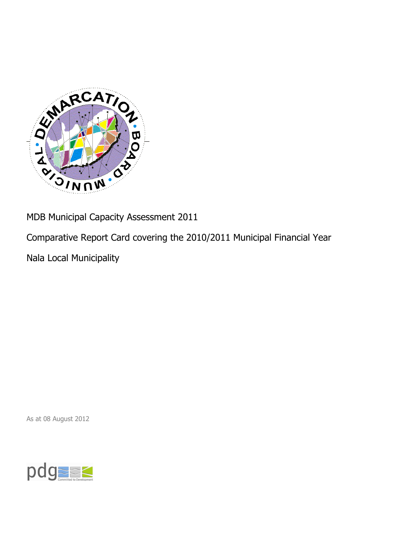

MDB Municipal Capacity Assessment 2011

Comparative Report Card covering the 2010/2011 Municipal Financial Year

Nala Local Municipality

As at 08 August 2012

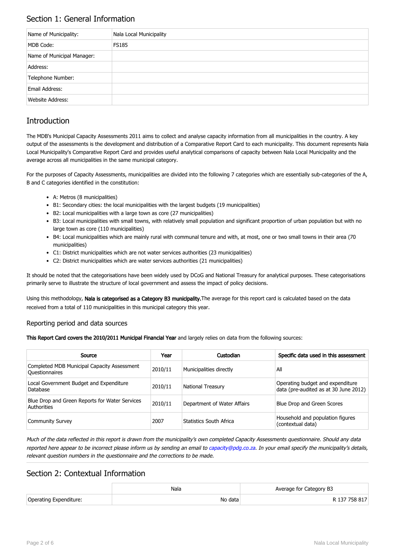## Section 1: General Information

| Name of Municipality:      | Nala Local Municipality |
|----------------------------|-------------------------|
| MDB Code:                  | <b>FS185</b>            |
| Name of Municipal Manager: |                         |
| Address:                   |                         |
| Telephone Number:          |                         |
| Email Address:             |                         |
| <b>Website Address:</b>    |                         |

# **Introduction**

The MDB's Municipal Capacity Assessments 2011 aims to collect and analyse capacity information from all municipalities in the country. A key output of the assessments is the development and distribution of a Comparative Report Card to each municipality. This document represents Nala Local Municipality's Comparative Report Card and provides useful analytical comparisons of capacity between Nala Local Municipality and the average across all municipalities in the same municipal category.

For the purposes of Capacity Assessments, municipalities are divided into the following 7 categories which are essentially sub-categories of the A, B and C categories identified in the constitution:

- A: Metros (8 municipalities)
- B1: Secondary cities: the local municipalities with the largest budgets (19 municipalities)
- B2: Local municipalities with a large town as core (27 municipalities)
- B3: Local municipalities with small towns, with relatively small population and significant proportion of urban population but with no large town as core (110 municipalities)
- B4: Local municipalities which are mainly rural with communal tenure and with, at most, one or two small towns in their area (70 municipalities)
- C1: District municipalities which are not water services authorities (23 municipalities)
- C2: District municipalities which are water services authorities (21 municipalities)

It should be noted that the categorisations have been widely used by DCoG and National Treasury for analytical purposes. These categorisations primarily serve to illustrate the structure of local government and assess the impact of policy decisions.

Using this methodology, Nala is categorised as a Category B3 municipality. The average for this report card is calculated based on the data received from a total of 110 municipalities in this municipal category this year.

#### Reporting period and data sources

This Report Card covers the 2010/2011 Municipal Financial Year and largely relies on data from the following sources:

| Source                                                               | Year    | Custodian                   | Specific data used in this assessment                                     |
|----------------------------------------------------------------------|---------|-----------------------------|---------------------------------------------------------------------------|
| Completed MDB Municipal Capacity Assessment<br><b>Ouestionnaires</b> | 2010/11 | Municipalities directly     | All                                                                       |
| Local Government Budget and Expenditure<br>Database                  | 2010/11 | <b>National Treasury</b>    | Operating budget and expenditure<br>data (pre-audited as at 30 June 2012) |
| Blue Drop and Green Reports for Water Services<br>Authorities        | 2010/11 | Department of Water Affairs | Blue Drop and Green Scores                                                |
| <b>Community Survey</b>                                              | 2007    | Statistics South Africa     | Household and population figures<br>(contextual data)                     |

Much of the data reflected in this report is drawn from the municipality's own completed Capacity Assessments questionnaire. Should any data reported here appear to be incorrect please inform us by sending an email to [capacity@pdg.co.za](mailto:capacity@pdg.co.za). In your email specify the municipality's details, relevant question numbers in the questionnaire and the corrections to be made.

### Section 2: Contextual Information

|                        | Nala    | Average for Category B3 |
|------------------------|---------|-------------------------|
| Operating Expenditure: | No data | R 137 758 817           |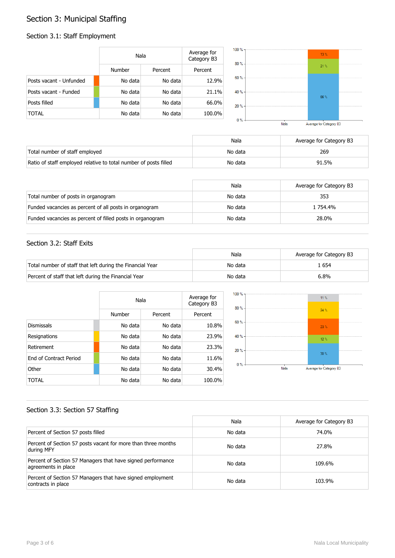# Section 3: Municipal Staffing

#### Section 3.1: Staff Employment

|                         | Nala    |         | Average for<br>Category B3 |
|-------------------------|---------|---------|----------------------------|
|                         | Number  | Percent | Percent                    |
| Posts vacant - Unfunded | No data | No data | 12.9%                      |
| Posts vacant - Funded   | No data | No data | 21.1%                      |
| Posts filled            | No data | No data | 66.0%                      |
| TOTAL                   | No data | No data | 100.0%                     |



|                                                                  | Nala    | Average for Category B3 |
|------------------------------------------------------------------|---------|-------------------------|
| Total number of staff employed                                   | No data | 269                     |
| Ratio of staff employed relative to total number of posts filled | No data | 91.5%                   |

|                                                           | Nala    | Average for Category B3 |
|-----------------------------------------------------------|---------|-------------------------|
| Total number of posts in organogram                       | No data | 353                     |
| Funded vacancies as percent of all posts in organogram    | No data | 1 754.4%                |
| Funded vacancies as percent of filled posts in organogram | No data | 28.0%                   |

#### Section 3.2: Staff Exits

|                                                           | Nala    | Average for Category B3 |
|-----------------------------------------------------------|---------|-------------------------|
| Total number of staff that left during the Financial Year | No data | . 654                   |
| Percent of staff that left during the Financial Year      | No data | 6.8%                    |

|                               |         | Nala    |         |
|-------------------------------|---------|---------|---------|
|                               | Number  | Percent | Percent |
| <b>Dismissals</b>             | No data | No data | 10.8%   |
| Resignations                  | No data | No data | 23.9%   |
| Retirement                    | No data | No data | 23.3%   |
| <b>Fnd of Contract Period</b> | No data | No data | 11.6%   |
| Other                         | No data | No data | 30.4%   |
| TOTAL                         | No data | No data | 100.0%  |



#### Section 3.3: Section 57 Staffing

|                                                                                    | Nala    | Average for Category B3 |
|------------------------------------------------------------------------------------|---------|-------------------------|
| Percent of Section 57 posts filled                                                 | No data | 74.0%                   |
| Percent of Section 57 posts vacant for more than three months<br>during MFY        | No data | 27.8%                   |
| Percent of Section 57 Managers that have signed performance<br>agreements in place | No data | 109.6%                  |
| Percent of Section 57 Managers that have signed employment<br>contracts in place   | No data | 103.9%                  |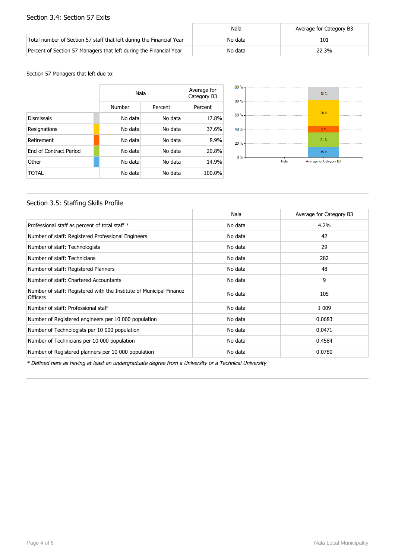#### Section 3.4: Section 57 Exits

|                                                                      | Nala    | Average for Category B3 |
|----------------------------------------------------------------------|---------|-------------------------|
| Total number of Section 57 staff that left during the Financial Year | No data | 101                     |
| Percent of Section 57 Managers that left during the Financial Year   | No data | 22.3%                   |

Section 57 Managers that left due to:

|                        | Nala    |         | Average for<br>Category B3 |
|------------------------|---------|---------|----------------------------|
|                        | Number  | Percent | Percent                    |
| <b>Dismissals</b>      | No data | No data | 17.8%                      |
| Resignations           | No data | No data | 37.6%                      |
| Retirement             | No data | No data | 8.9%                       |
| End of Contract Period | No data | No data | 20.8%                      |
| Other                  | No data | No data | 14.9%                      |
| TOTAL                  | No data | No data | 100.0%                     |



#### Section 3.5: Staffing Skills Profile

|                                                                                        | Nala    | Average for Category B3 |
|----------------------------------------------------------------------------------------|---------|-------------------------|
| Professional staff as percent of total staff *                                         | No data | 4.2%                    |
| Number of staff: Registered Professional Engineers                                     | No data | 42                      |
| Number of staff: Technologists                                                         | No data | 29                      |
| Number of staff: Technicians                                                           | No data | 282                     |
| Number of staff: Registered Planners                                                   | No data | 48                      |
| Number of staff: Chartered Accountants                                                 | No data | 9                       |
| Number of staff: Registered with the Institute of Municipal Finance<br><b>Officers</b> | No data | 105                     |
| Number of staff: Professional staff                                                    | No data | 1 0 0 9                 |
| Number of Registered engineers per 10 000 population                                   | No data | 0.0683                  |
| Number of Technologists per 10 000 population                                          | No data | 0.0471                  |
| Number of Technicians per 10 000 population                                            | No data | 0.4584                  |
| Number of Registered planners per 10 000 population                                    | No data | 0.0780                  |

\* Defined here as having at least an undergraduate degree from a University or a Technical University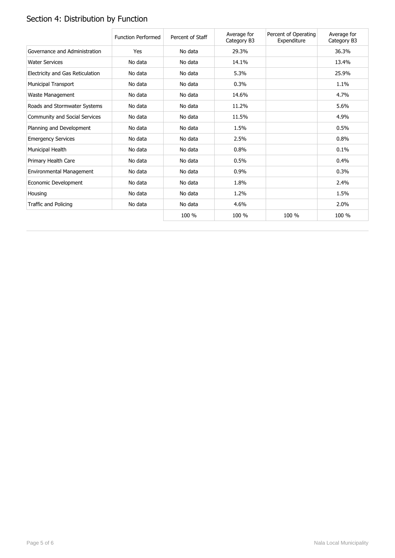# Section 4: Distribution by Function

|                                  | <b>Function Performed</b> | Percent of Staff | Average for<br>Category B3 | Percent of Operating<br>Expenditure | Average for<br>Category B3 |
|----------------------------------|---------------------------|------------------|----------------------------|-------------------------------------|----------------------------|
| Governance and Administration    | Yes                       | No data          | 29.3%                      |                                     | 36.3%                      |
| <b>Water Services</b>            | No data                   | No data          | 14.1%                      |                                     | 13.4%                      |
| Electricity and Gas Reticulation | No data                   | No data          | 5.3%                       |                                     | 25.9%                      |
| <b>Municipal Transport</b>       | No data                   | No data          | 0.3%                       |                                     | 1.1%                       |
| Waste Management                 | No data                   | No data          | 14.6%                      |                                     | 4.7%                       |
| Roads and Stormwater Systems     | No data                   | No data          | 11.2%                      |                                     | 5.6%                       |
| Community and Social Services    | No data                   | No data          | 11.5%                      |                                     | 4.9%                       |
| Planning and Development         | No data                   | No data          | 1.5%                       |                                     | 0.5%                       |
| <b>Emergency Services</b>        | No data                   | No data          | 2.5%                       |                                     | 0.8%                       |
| Municipal Health                 | No data                   | No data          | 0.8%                       |                                     | 0.1%                       |
| Primary Health Care              | No data                   | No data          | 0.5%                       |                                     | 0.4%                       |
| Environmental Management         | No data                   | No data          | 0.9%                       |                                     | 0.3%                       |
| Economic Development             | No data                   | No data          | 1.8%                       |                                     | 2.4%                       |
| Housing                          | No data                   | No data          | 1.2%                       |                                     | 1.5%                       |
| Traffic and Policing             | No data                   | No data          | 4.6%                       |                                     | 2.0%                       |
|                                  |                           | 100 %            | 100 %                      | 100 %                               | 100 %                      |